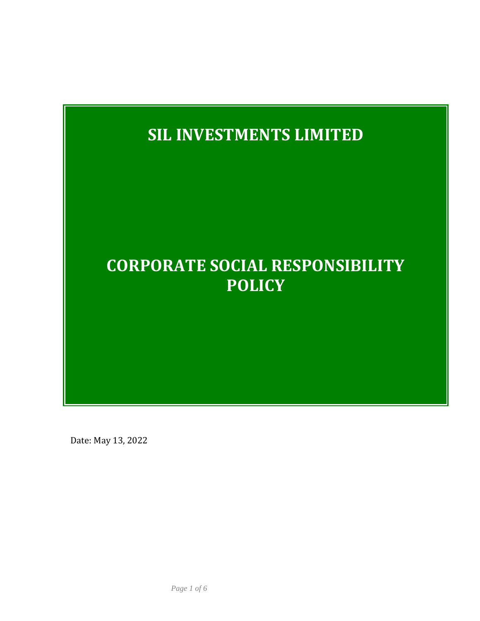

Date: May 13, 2022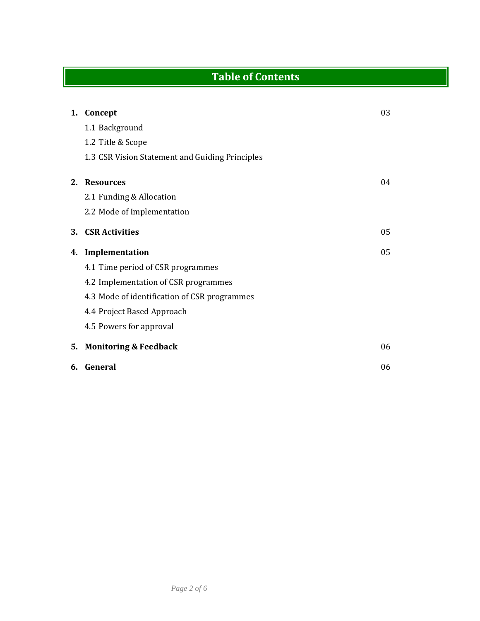# **Table of Contents**

| 1.      | Concept                                         | 03 |
|---------|-------------------------------------------------|----|
|         | 1.1 Background                                  |    |
|         | 1.2 Title & Scope                               |    |
|         | 1.3 CSR Vision Statement and Guiding Principles |    |
| $2_{-}$ | <b>Resources</b>                                | 04 |
|         | 2.1 Funding & Allocation                        |    |
|         | 2.2 Mode of Implementation                      |    |
| 3.      | <b>CSR Activities</b>                           | 05 |
| 4.      | Implementation                                  | 05 |
|         | 4.1 Time period of CSR programmes               |    |
|         | 4.2 Implementation of CSR programmes            |    |
|         | 4.3 Mode of identification of CSR programmes    |    |
|         | 4.4 Project Based Approach                      |    |
|         | 4.5 Powers for approval                         |    |
|         |                                                 |    |
| 5.      | <b>Monitoring &amp; Feedback</b>                | 06 |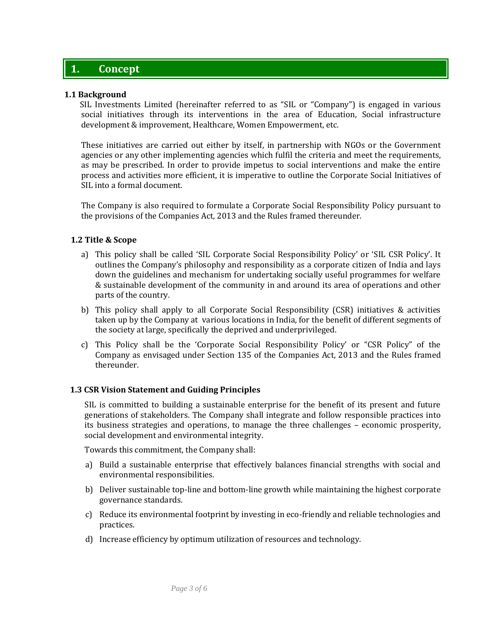# **1. Concept**

#### **1.1 Background**

 SIL Investments Limited (hereinafter referred to as "SIL or "Company") is engaged in various social initiatives through its interventions in the area of Education, Social infrastructure development & improvement, Healthcare, Women Empowerment, etc.

These initiatives are carried out either by itself, in partnership with NGOs or the Government agencies or any other implementing agencies which fulfil the criteria and meet the requirements, as may be prescribed. In order to provide impetus to social interventions and make the entire process and activities more efficient, it is imperative to outline the Corporate Social Initiatives of SIL into a formal document.

The Company is also required to formulate a Corporate Social Responsibility Policy pursuant to the provisions of the Companies Act, 2013 and the Rules framed thereunder.

#### **1.2 Title & Scope**

- a) This policy shall be called 'SIL Corporate Social Responsibility Policy' or 'SIL CSR Policy'. It outlines the Company's philosophy and responsibility as a corporate citizen of India and lays down the guidelines and mechanism for undertaking socially useful programmes for welfare & sustainable development of the community in and around its area of operations and other parts of the country.
- b) This policy shall apply to all Corporate Social Responsibility (CSR) initiatives & activities taken up by the Company at various locations in India, for the benefit of different segments of the society at large, specifically the deprived and underprivileged.
- c) This Policy shall be the 'Corporate Social Responsibility Policy' or "CSR Policy" of the Company as envisaged under Section 135 of the Companies Act, 2013 and the Rules framed thereunder.

#### **1.3 CSR Vision Statement and Guiding Principles**

SIL is committed to building a sustainable enterprise for the benefit of its present and future generations of stakeholders. The Company shall integrate and follow responsible practices into its business strategies and operations, to manage the three challenges – economic prosperity, social development and environmental integrity.

Towards this commitment, the Company shall:

- a) Build a sustainable enterprise that effectively balances financial strengths with social and environmental responsibilities.
- b) Deliver sustainable top-line and bottom-line growth while maintaining the highest corporate governance standards.
- c) Reduce its environmental footprint by investing in eco-friendly and reliable technologies and practices.
- d) Increase efficiency by optimum utilization of resources and technology.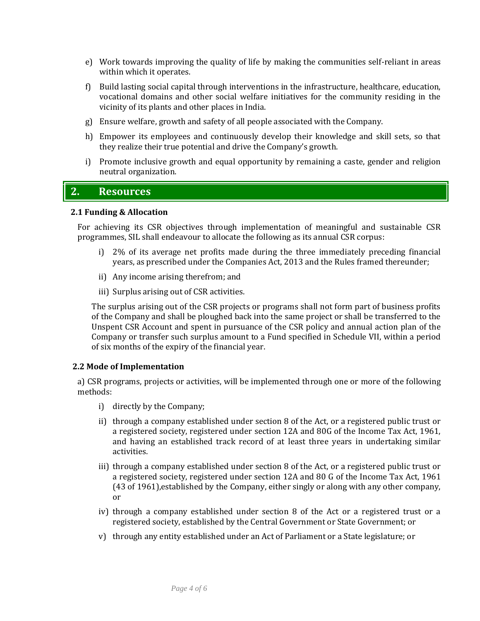- e) Work towards improving the quality of life by making the communities self-reliant in areas within which it operates.
- f) Build lasting social capital through interventions in the infrastructure, healthcare, education, vocational domains and other social welfare initiatives for the community residing in the vicinity of its plants and other places in India.
- g) Ensure welfare, growth and safety of all people associated with the Company.
- h) Empower its employees and continuously develop their knowledge and skill sets, so that they realize their true potential and drive the Company's growth.
- i) Promote inclusive growth and equal opportunity by remaining a caste, gender and religion neutral organization.

## **2. Resources**

#### **2.1 Funding & Allocation**

For achieving its CSR objectives through implementation of meaningful and sustainable CSR programmes, SIL shall endeavour to allocate the following as its annual CSR corpus:

- i) 2% of its average net profits made during the three immediately preceding financial years, as prescribed under the Companies Act, 2013 and the Rules framed thereunder;
- ii) Any income arising therefrom; and
- iii) Surplus arising out of CSR activities.

The surplus arising out of the CSR projects or programs shall not form part of business profits of the Company and shall be ploughed back into the same project or shall be transferred to the Unspent CSR Account and spent in pursuance of the CSR policy and annual action plan of the Company or transfer such surplus amount to a Fund specified in Schedule VII, within a period of six months of the expiry of the financial year.

#### **2.2 Mode of Implementation**

a) CSR programs, projects or activities, will be implemented through one or more of the following methods:

- i) directly by the Company;
- ii) through a company established under section 8 of the Act, or a registered public trust or a registered society, registered under section 12A and 80G of the Income Tax Act, 1961, and having an established track record of at least three years in undertaking similar activities.
- iii) through a company established under section 8 of the Act, or a registered public trust or a registered society, registered under section 12A and 80 G of the Income Tax Act, 1961 (43 of 1961),established by the Company, either singly or along with any other company, or
- iv) through a company established under section 8 of the Act or a registered trust or a registered society, established by the Central Government or State Government; or
- v) through any entity established under an Act of Parliament or a State legislature; or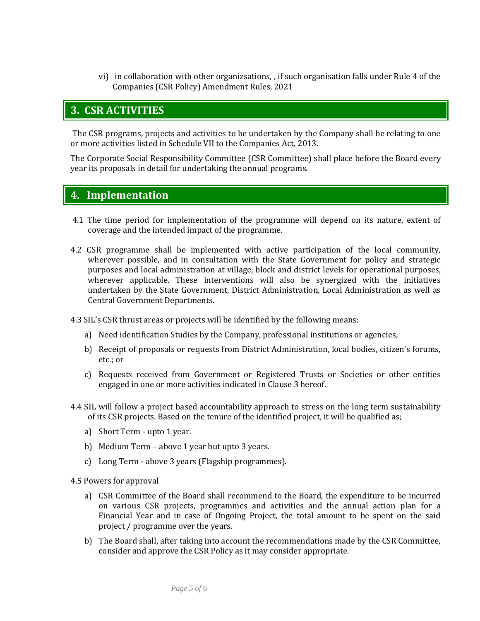vi) in collaboration with other organizsations, , if such organisation falls under Rule 4 of the Companies (CSR Policy) Amendment Rules, 2021

## **3. CSR ACTIVITIES**

The CSR programs, projects and activities to be undertaken by the Company shall be relating to one or more activities listed in Schedule VII to the Companies Act, 2013.

The Corporate Social Responsibility Committee (CSR Committee) shall place before the Board every year its proposals in detail for undertaking the annual programs.

### **4. Implementation**

- 4.1 The time period for implementation of the programme will depend on its nature, extent of coverage and the intended impact of the programme.
- 4.2 CSR programme shall be implemented with active participation of the local community, wherever possible, and in consultation with the State Government for policy and strategic purposes and local administration at village, block and district levels for operational purposes, wherever applicable. These interventions will also be synergized with the initiatives undertaken by the State Government, District Administration, Local Administration as well as Central Government Departments.

4.3 SIL's CSR thrust areas or projects will be identified by the following means:

- a) Need identification Studies by the Company, professional institutions or agencies,
- b) Receipt of proposals or requests from District Administration, local bodies, citizen's forums, etc.; or
- c) Requests received from Government or Registered Trusts or Societies or other entities engaged in one or more activities indicated in Clause 3 hereof.
- 4.4 SIL will follow a project based accountability approach to stress on the long term sustainability of its CSR projects. Based on the tenure of the identified project, it will be qualified as;
	- a) Short Term upto 1 year.
	- b) Medium Term above 1 year but upto 3 years.
	- c) Long Term above 3 years (Flagship programmes).

4.5 Powers for approval

- a) CSR Committee of the Board shall recommend to the Board, the expenditure to be incurred on various CSR projects, programmes and activities and the annual action plan for a Financial Year and in case of Ongoing Project, the total amount to be spent on the said project / programme over the years.
- b) The Board shall, after taking into account the recommendations made by the CSR Committee, consider and approve the CSR Policy as it may consider appropriate.